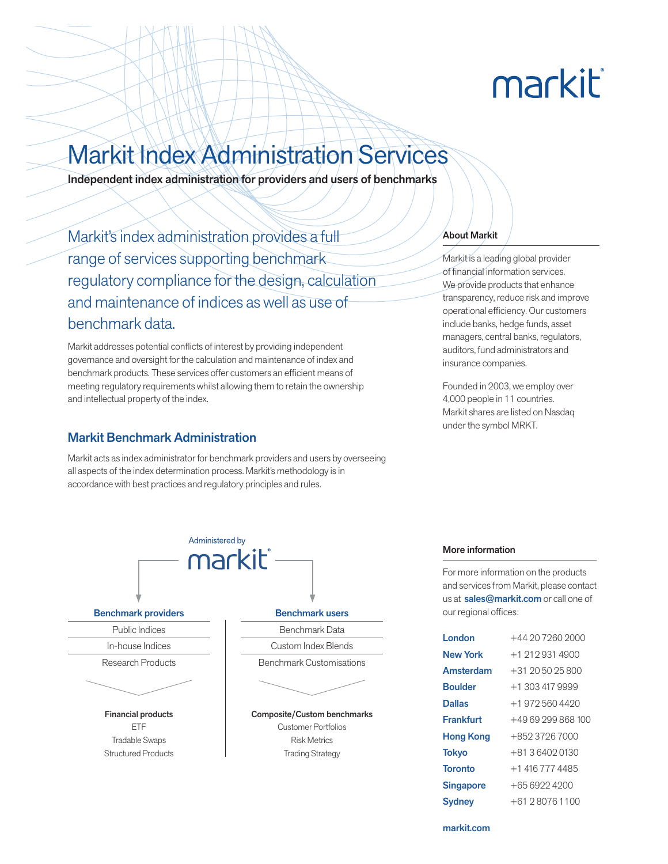# markit

## Markit Index Administration Services

Independent index administration for providers and users of benchmarks

Markit's index administration provides a full range of services supporting benchmark regulatory compliance for the design, calculation and maintenance of indices as well as use of benchmark data.

Markit addresses potential conflicts of interest by providing independent governance and oversight for the calculation and maintenance of index and benchmark products. These services offer customers an efficient means of meeting regulatory requirements whilst allowing them to retain the ownership and intellectual property of the index.

#### Markit Benchmark Administration

Markit acts as index administrator for benchmark providers and users by overseeing all aspects of the index determination process. Markit's methodology is in accordance with best practices and regulatory principles and rules.

#### About Markit

Markit is a leading global provider of financial information services. We provide products that enhance transparency, reduce risk and improve operational efficiency. Our customers include banks, hedge funds, asset managers, central banks, regulators, auditors, fund administrators and insurance companies.

Founded in 2003, we employ over 4,000 people in 11 countries. Markit shares are listed on Nasdaq under the symbol MRKT.



#### More information

For more information on the products and services from Markit, please contact us at sales@markit.com or call one of our regional offices:

| London           | $+44$ 20 7260 2000 |
|------------------|--------------------|
| <b>New York</b>  | $+1$ 212 931 4900  |
| Amsterdam        | $+31$ 20 50 25 800 |
| <b>Boulder</b>   | $+1.3034179999$    |
| <b>Dallas</b>    | +1 972 560 4420    |
| <b>Frankfurt</b> | +49 69 299 868 100 |
| <b>Hong Kong</b> | +852 3726 7000     |
| Tokyo            | +81 3 6402 0130    |
| <b>Toronto</b>   | +1 416 777 4485    |
| <b>Singapore</b> | $+6569224200$      |
| Sydney           | $+61280761100$     |

markit.com